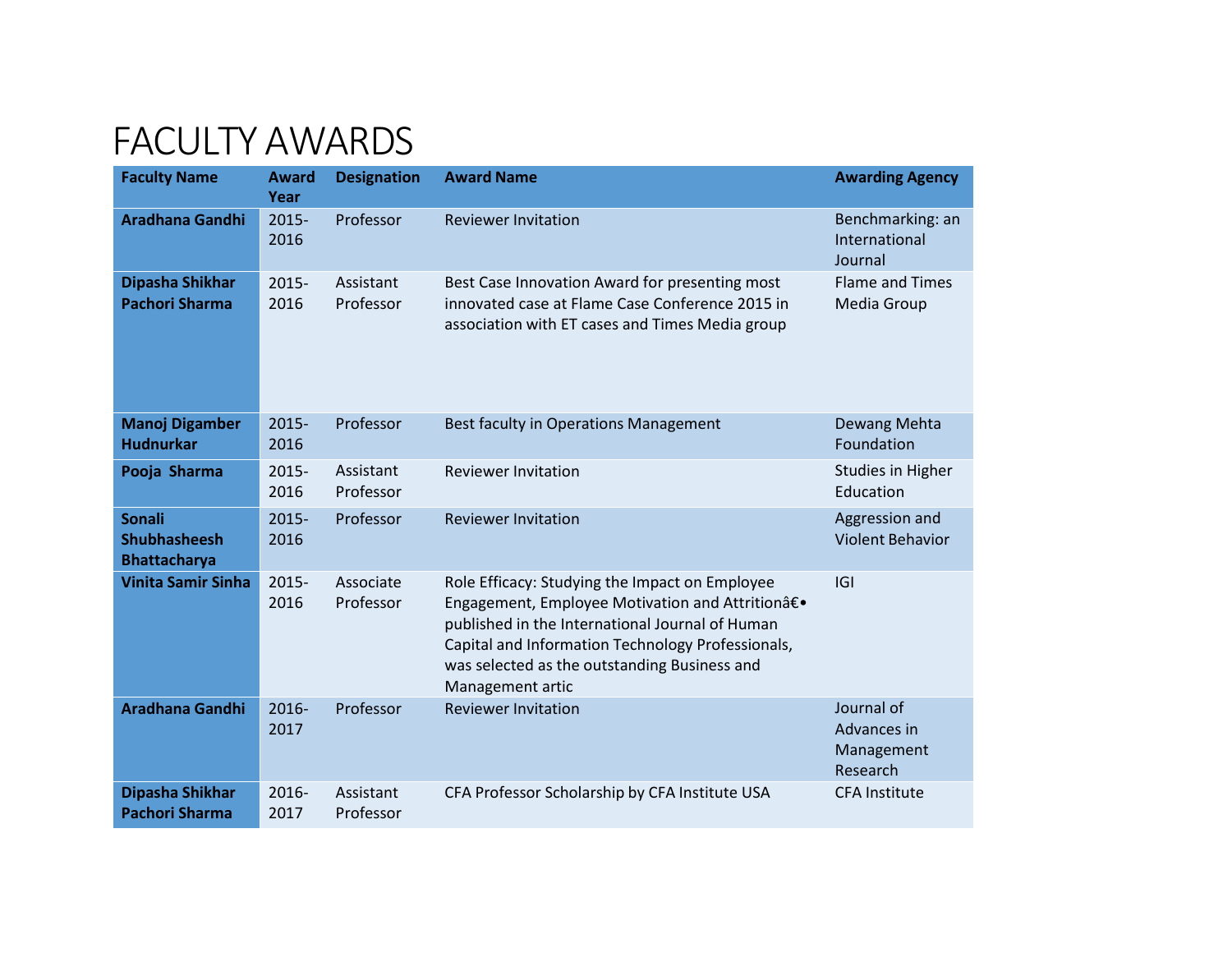## FACULTY AWARDS

| <b>Faculty Name</b>                                         | <b>Award</b><br>Year | <b>Designation</b>     | <b>Award Name</b>                                                                                                                                                                                                                                                              | <b>Awarding Agency</b>                              |
|-------------------------------------------------------------|----------------------|------------------------|--------------------------------------------------------------------------------------------------------------------------------------------------------------------------------------------------------------------------------------------------------------------------------|-----------------------------------------------------|
| <b>Aradhana Gandhi</b>                                      | 2015-<br>2016        | Professor              | <b>Reviewer Invitation</b>                                                                                                                                                                                                                                                     | Benchmarking: an<br>International<br>Journal        |
| Dipasha Shikhar<br><b>Pachori Sharma</b>                    | 2015-<br>2016        | Assistant<br>Professor | Best Case Innovation Award for presenting most<br>innovated case at Flame Case Conference 2015 in<br>association with ET cases and Times Media group                                                                                                                           | <b>Flame and Times</b><br>Media Group               |
| <b>Manoj Digamber</b><br><b>Hudnurkar</b>                   | $2015 -$<br>2016     | Professor              | Best faculty in Operations Management                                                                                                                                                                                                                                          | Dewang Mehta<br>Foundation                          |
| Pooja Sharma                                                | $2015 -$<br>2016     | Assistant<br>Professor | <b>Reviewer Invitation</b>                                                                                                                                                                                                                                                     | <b>Studies in Higher</b><br>Education               |
| <b>Sonali</b><br><b>Shubhasheesh</b><br><b>Bhattacharya</b> | 2015-<br>2016        | Professor              | <b>Reviewer Invitation</b>                                                                                                                                                                                                                                                     | Aggression and<br><b>Violent Behavior</b>           |
| <b>Vinita Samir Sinha</b>                                   | 2015-<br>2016        | Associate<br>Professor | Role Efficacy: Studying the Impact on Employee<br>Engagement, Employee Motivation and Attritionâ€.<br>published in the International Journal of Human<br>Capital and Information Technology Professionals,<br>was selected as the outstanding Business and<br>Management artic | G                                                   |
| <b>Aradhana Gandhi</b>                                      | 2016-<br>2017        | Professor              | <b>Reviewer Invitation</b>                                                                                                                                                                                                                                                     | Journal of<br>Advances in<br>Management<br>Research |
| Dipasha Shikhar<br><b>Pachori Sharma</b>                    | $2016 -$<br>2017     | Assistant<br>Professor | CFA Professor Scholarship by CFA Institute USA                                                                                                                                                                                                                                 | <b>CFA Institute</b>                                |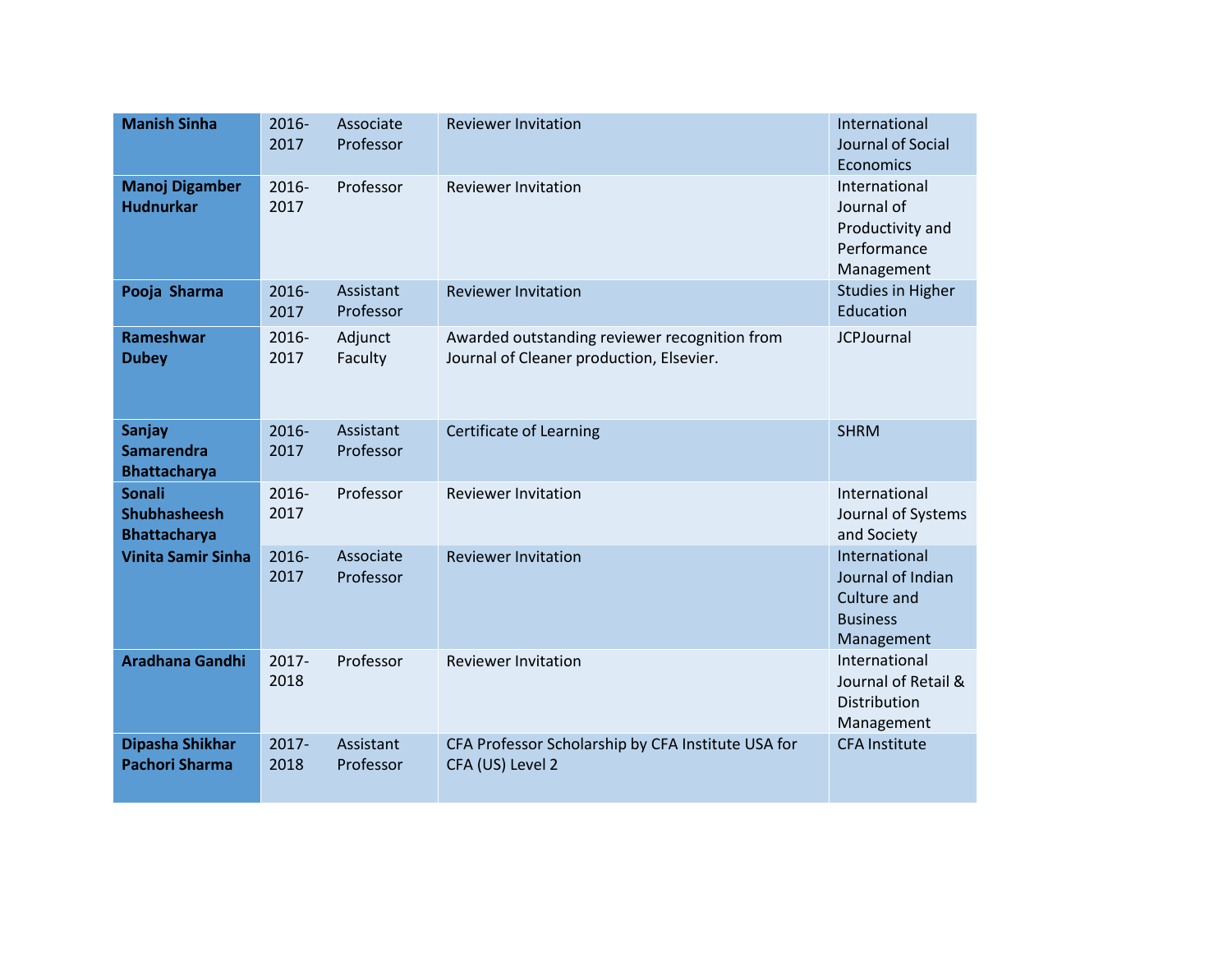| <b>Manish Sinha</b>                                         | 2016-<br>2017    | Associate<br>Professor | <b>Reviewer Invitation</b>                                                                | International<br>Journal of Social<br>Economics                                    |
|-------------------------------------------------------------|------------------|------------------------|-------------------------------------------------------------------------------------------|------------------------------------------------------------------------------------|
| <b>Manoj Digamber</b><br><b>Hudnurkar</b>                   | 2016-<br>2017    | Professor              | <b>Reviewer Invitation</b>                                                                | International<br>Journal of<br>Productivity and<br>Performance<br>Management       |
| Pooja Sharma                                                | $2016 -$<br>2017 | Assistant<br>Professor | <b>Reviewer Invitation</b>                                                                | <b>Studies in Higher</b><br>Education                                              |
| <b>Rameshwar</b><br><b>Dubey</b>                            | 2016-<br>2017    | Adjunct<br>Faculty     | Awarded outstanding reviewer recognition from<br>Journal of Cleaner production, Elsevier. | <b>JCPJournal</b>                                                                  |
| <b>Sanjay</b><br><b>Samarendra</b><br><b>Bhattacharya</b>   | 2016-<br>2017    | Assistant<br>Professor | Certificate of Learning                                                                   | <b>SHRM</b>                                                                        |
| <b>Sonali</b><br><b>Shubhasheesh</b><br><b>Bhattacharya</b> | $2016 -$<br>2017 | Professor              | <b>Reviewer Invitation</b>                                                                | International<br>Journal of Systems<br>and Society                                 |
| <b>Vinita Samir Sinha</b>                                   | 2016-<br>2017    | Associate<br>Professor | <b>Reviewer Invitation</b>                                                                | International<br>Journal of Indian<br>Culture and<br><b>Business</b><br>Management |
| <b>Aradhana Gandhi</b>                                      | $2017 -$<br>2018 | Professor              | <b>Reviewer Invitation</b>                                                                | International<br>Journal of Retail &<br>Distribution<br>Management                 |
| Dipasha Shikhar<br><b>Pachori Sharma</b>                    | $2017 -$<br>2018 | Assistant<br>Professor | CFA Professor Scholarship by CFA Institute USA for<br>CFA (US) Level 2                    | <b>CFA Institute</b>                                                               |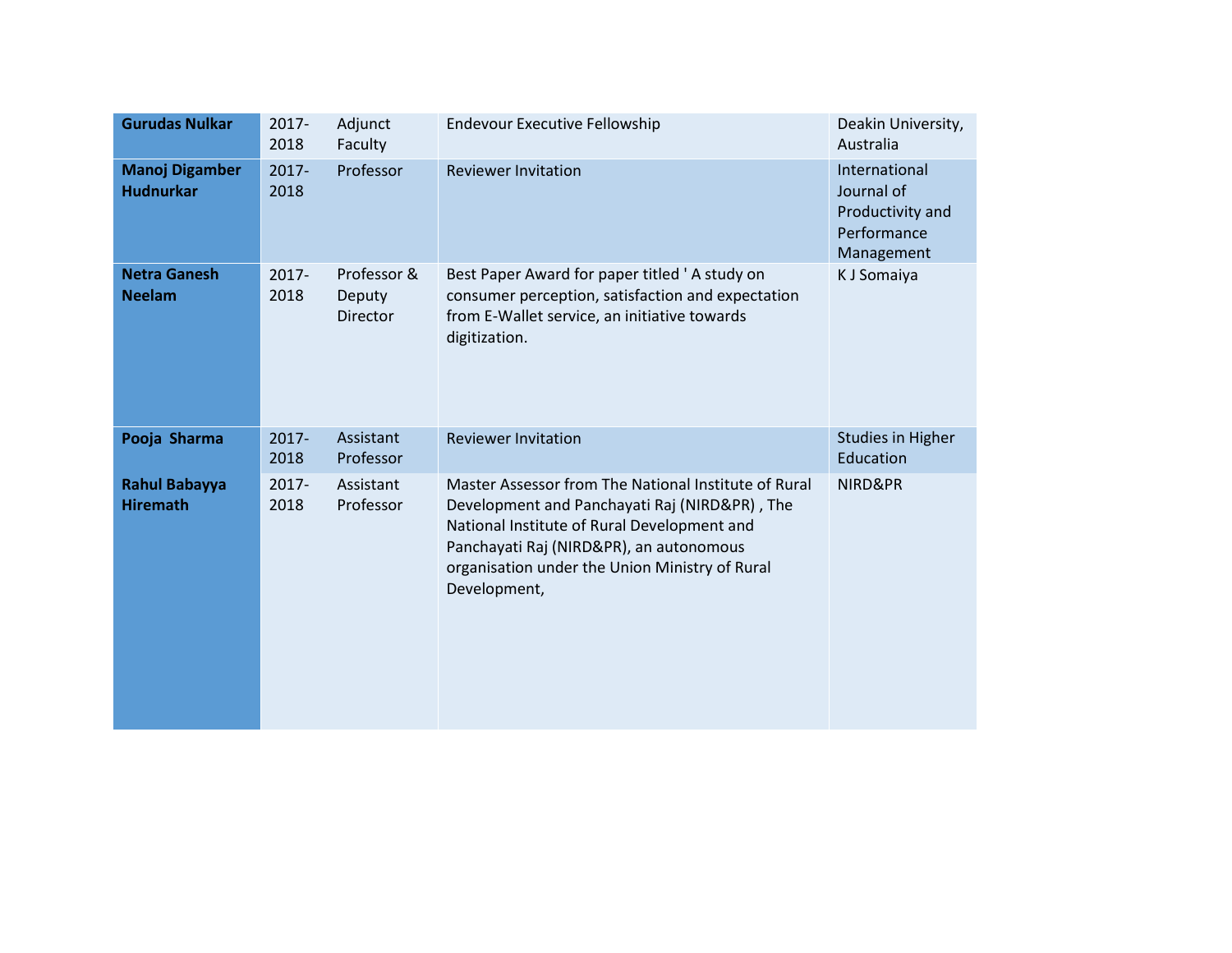| <b>Gurudas Nulkar</b>                     | 2017-<br>2018    | Adjunct<br>Faculty                       | <b>Endevour Executive Fellowship</b>                                                                                                                                                                                                                              | Deakin University,<br>Australia                                              |
|-------------------------------------------|------------------|------------------------------------------|-------------------------------------------------------------------------------------------------------------------------------------------------------------------------------------------------------------------------------------------------------------------|------------------------------------------------------------------------------|
| <b>Manoj Digamber</b><br><b>Hudnurkar</b> | $2017 -$<br>2018 | Professor                                | <b>Reviewer Invitation</b>                                                                                                                                                                                                                                        | International<br>Journal of<br>Productivity and<br>Performance<br>Management |
| <b>Netra Ganesh</b><br><b>Neelam</b>      | 2017-<br>2018    | Professor &<br>Deputy<br><b>Director</b> | Best Paper Award for paper titled 'A study on<br>consumer perception, satisfaction and expectation<br>from E-Wallet service, an initiative towards<br>digitization.                                                                                               | K J Somaiya                                                                  |
| Pooja Sharma                              | $2017 -$<br>2018 | Assistant<br>Professor                   | <b>Reviewer Invitation</b>                                                                                                                                                                                                                                        | <b>Studies in Higher</b><br>Education                                        |
| <b>Rahul Babayya</b><br><b>Hiremath</b>   | $2017 -$<br>2018 | Assistant<br>Professor                   | Master Assessor from The National Institute of Rural<br>Development and Panchayati Raj (NIRD&PR), The<br>National Institute of Rural Development and<br>Panchayati Raj (NIRD&PR), an autonomous<br>organisation under the Union Ministry of Rural<br>Development, | NIRD&PR                                                                      |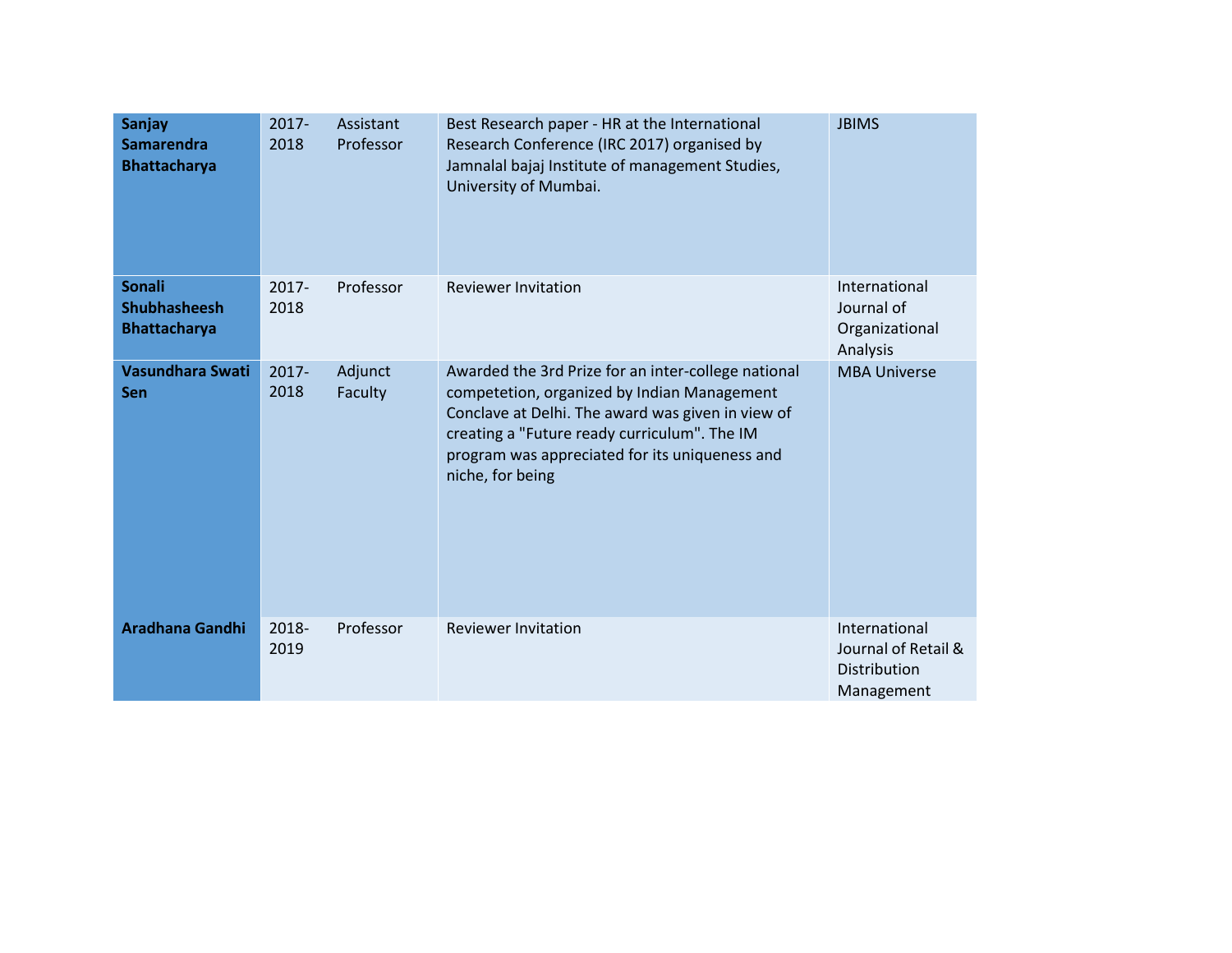| <b>Sanjay</b><br><b>Samarendra</b><br><b>Bhattacharya</b>   | $2017 -$<br>2018 | Assistant<br>Professor | Best Research paper - HR at the International<br>Research Conference (IRC 2017) organised by<br>Jamnalal bajaj Institute of management Studies,<br>University of Mumbai.                                                                                                      | <b>JBIMS</b>                                                       |
|-------------------------------------------------------------|------------------|------------------------|-------------------------------------------------------------------------------------------------------------------------------------------------------------------------------------------------------------------------------------------------------------------------------|--------------------------------------------------------------------|
| <b>Sonali</b><br><b>Shubhasheesh</b><br><b>Bhattacharya</b> | $2017 -$<br>2018 | Professor              | <b>Reviewer Invitation</b>                                                                                                                                                                                                                                                    | International<br>Journal of<br>Organizational<br>Analysis          |
| <b>Vasundhara Swati</b><br>Sen                              | 2017-<br>2018    | Adjunct<br>Faculty     | Awarded the 3rd Prize for an inter-college national<br>competetion, organized by Indian Management<br>Conclave at Delhi. The award was given in view of<br>creating a "Future ready curriculum". The IM<br>program was appreciated for its uniqueness and<br>niche, for being | <b>MBA Universe</b>                                                |
| <b>Aradhana Gandhi</b>                                      | 2018-<br>2019    | Professor              | <b>Reviewer Invitation</b>                                                                                                                                                                                                                                                    | International<br>Journal of Retail &<br>Distribution<br>Management |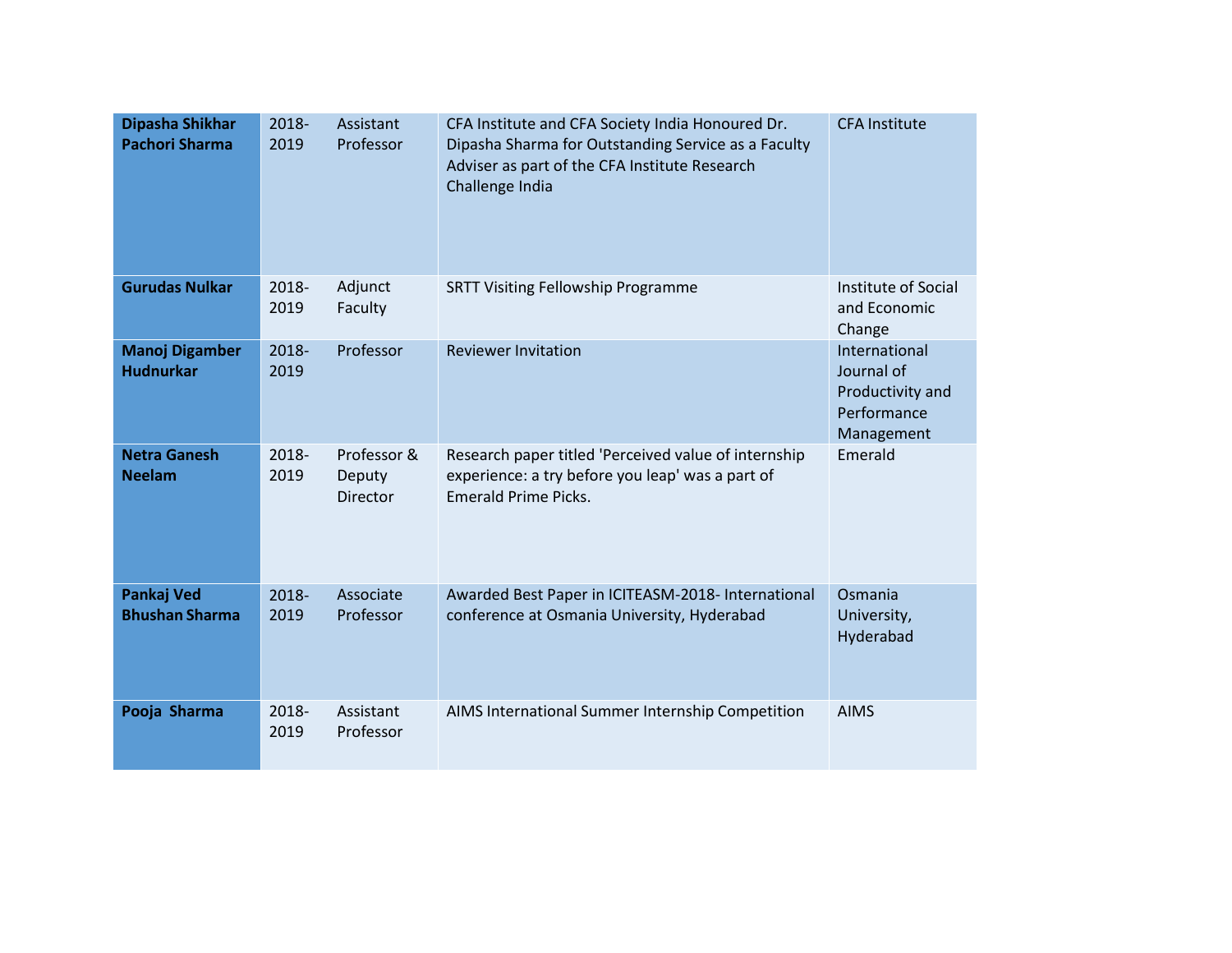| Dipasha Shikhar<br><b>Pachori Sharma</b>   | 2018-<br>2019 | Assistant<br>Professor            | CFA Institute and CFA Society India Honoured Dr.<br>Dipasha Sharma for Outstanding Service as a Faculty<br>Adviser as part of the CFA Institute Research<br>Challenge India | <b>CFA Institute</b>                                                         |
|--------------------------------------------|---------------|-----------------------------------|-----------------------------------------------------------------------------------------------------------------------------------------------------------------------------|------------------------------------------------------------------------------|
| <b>Gurudas Nulkar</b>                      | 2018-<br>2019 | Adjunct<br>Faculty                | <b>SRTT Visiting Fellowship Programme</b>                                                                                                                                   | Institute of Social<br>and Economic<br>Change                                |
| <b>Manoj Digamber</b><br><b>Hudnurkar</b>  | 2018-<br>2019 | Professor                         | <b>Reviewer Invitation</b>                                                                                                                                                  | International<br>Journal of<br>Productivity and<br>Performance<br>Management |
| <b>Netra Ganesh</b><br><b>Neelam</b>       | 2018-<br>2019 | Professor &<br>Deputy<br>Director | Research paper titled 'Perceived value of internship<br>experience: a try before you leap' was a part of<br><b>Emerald Prime Picks.</b>                                     | Emerald                                                                      |
| <b>Pankaj Ved</b><br><b>Bhushan Sharma</b> | 2018-<br>2019 | Associate<br>Professor            | Awarded Best Paper in ICITEASM-2018- International<br>conference at Osmania University, Hyderabad                                                                           | Osmania<br>University,<br>Hyderabad                                          |
| Pooja Sharma                               | 2018-<br>2019 | Assistant<br>Professor            | AIMS International Summer Internship Competition                                                                                                                            | <b>AIMS</b>                                                                  |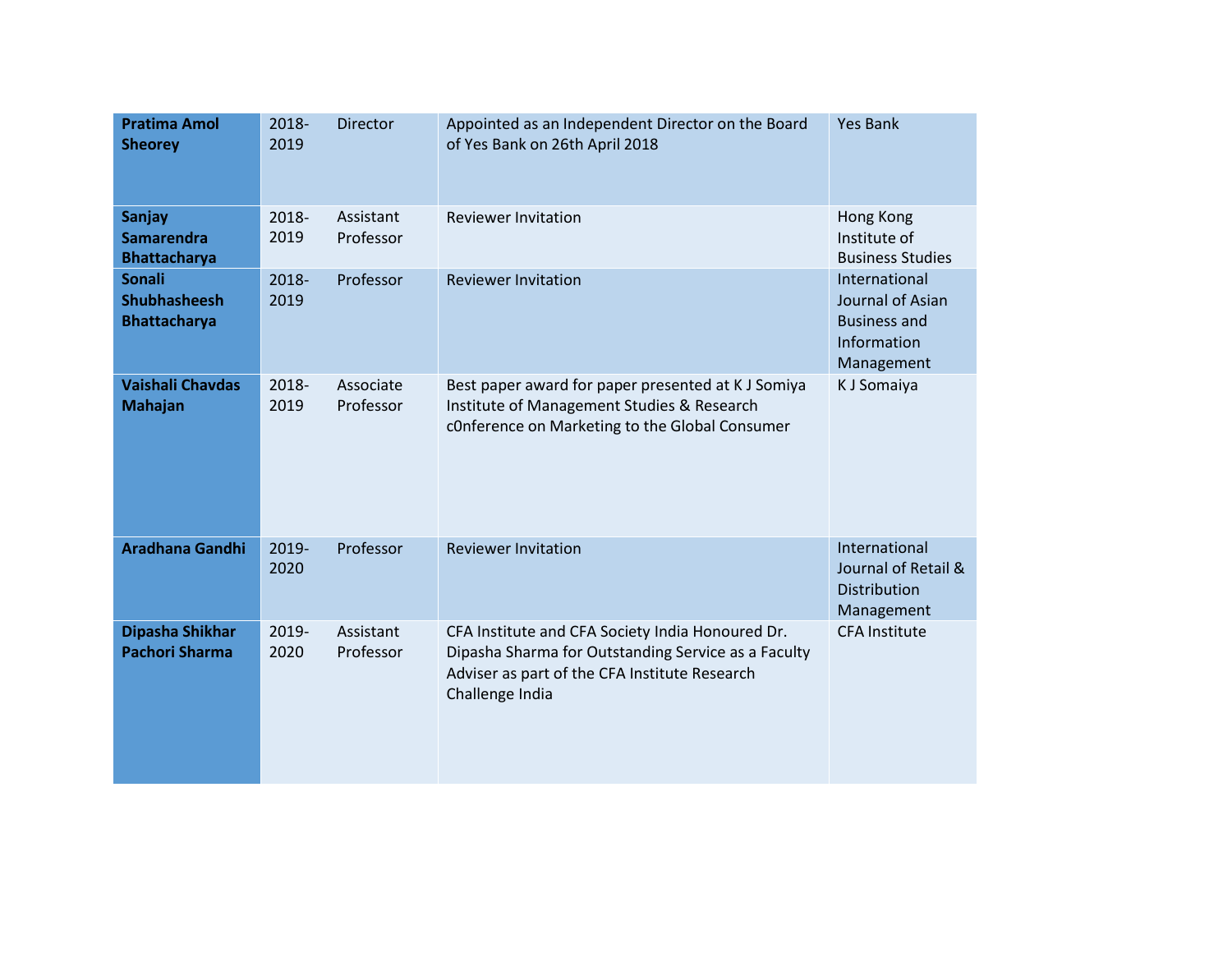| <b>Pratima Amol</b><br><b>Sheorey</b>                       | 2018-<br>2019 | <b>Director</b>        | Appointed as an Independent Director on the Board<br>of Yes Bank on 26th April 2018                                                                                         | <b>Yes Bank</b>                                                                       |
|-------------------------------------------------------------|---------------|------------------------|-----------------------------------------------------------------------------------------------------------------------------------------------------------------------------|---------------------------------------------------------------------------------------|
| <b>Sanjay</b><br><b>Samarendra</b><br><b>Bhattacharya</b>   | 2018-<br>2019 | Assistant<br>Professor | <b>Reviewer Invitation</b>                                                                                                                                                  | Hong Kong<br>Institute of<br><b>Business Studies</b>                                  |
| <b>Sonali</b><br><b>Shubhasheesh</b><br><b>Bhattacharya</b> | 2018-<br>2019 | Professor              | <b>Reviewer Invitation</b>                                                                                                                                                  | International<br>Journal of Asian<br><b>Business and</b><br>Information<br>Management |
| <b>Vaishali Chavdas</b><br><b>Mahajan</b>                   | 2018-<br>2019 | Associate<br>Professor | Best paper award for paper presented at K J Somiya<br>Institute of Management Studies & Research<br>cOnference on Marketing to the Global Consumer                          | K J Somaiya                                                                           |
| <b>Aradhana Gandhi</b>                                      | 2019-<br>2020 | Professor              | <b>Reviewer Invitation</b>                                                                                                                                                  | International<br>Journal of Retail &<br>Distribution<br>Management                    |
| Dipasha Shikhar<br><b>Pachori Sharma</b>                    | 2019-<br>2020 | Assistant<br>Professor | CFA Institute and CFA Society India Honoured Dr.<br>Dipasha Sharma for Outstanding Service as a Faculty<br>Adviser as part of the CFA Institute Research<br>Challenge India | <b>CFA Institute</b>                                                                  |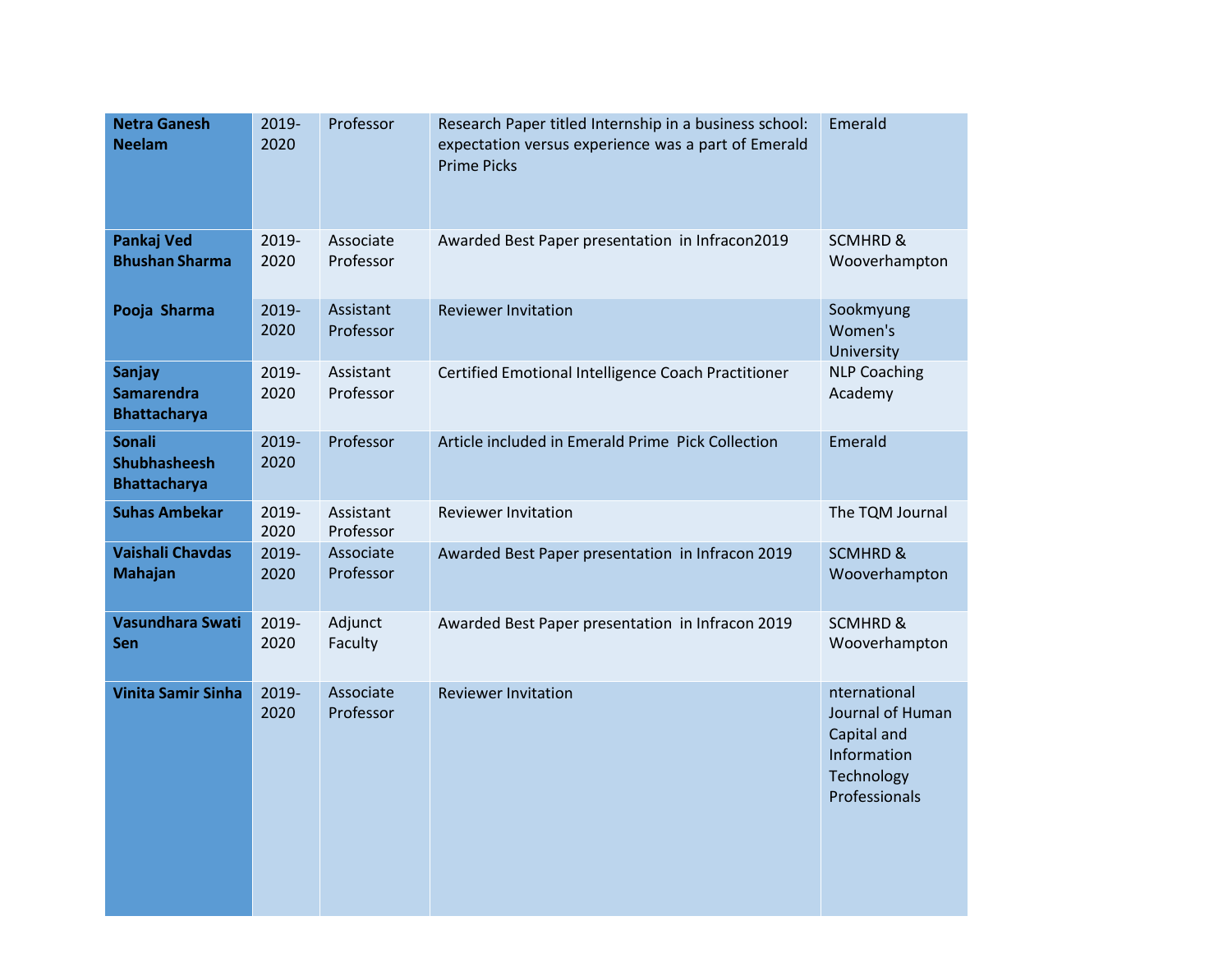| <b>Netra Ganesh</b><br><b>Neelam</b>                        | 2019-<br>2020 | Professor              | Research Paper titled Internship in a business school:<br>expectation versus experience was a part of Emerald<br><b>Prime Picks</b> | Emerald                                                                                       |
|-------------------------------------------------------------|---------------|------------------------|-------------------------------------------------------------------------------------------------------------------------------------|-----------------------------------------------------------------------------------------------|
| <b>Pankaj Ved</b><br><b>Bhushan Sharma</b>                  | 2019-<br>2020 | Associate<br>Professor | Awarded Best Paper presentation in Infracon2019                                                                                     | <b>SCMHRD &amp;</b><br>Wooverhampton                                                          |
| Pooja Sharma                                                | 2019-<br>2020 | Assistant<br>Professor | <b>Reviewer Invitation</b>                                                                                                          | Sookmyung<br>Women's<br>University                                                            |
| <b>Sanjay</b><br><b>Samarendra</b><br><b>Bhattacharya</b>   | 2019-<br>2020 | Assistant<br>Professor | Certified Emotional Intelligence Coach Practitioner                                                                                 | <b>NLP Coaching</b><br>Academy                                                                |
| <b>Sonali</b><br><b>Shubhasheesh</b><br><b>Bhattacharya</b> | 2019-<br>2020 | Professor              | Article included in Emerald Prime Pick Collection                                                                                   | Emerald                                                                                       |
| <b>Suhas Ambekar</b>                                        | 2019-<br>2020 | Assistant<br>Professor | <b>Reviewer Invitation</b>                                                                                                          | The TQM Journal                                                                               |
| <b>Vaishali Chavdas</b><br><b>Mahajan</b>                   | 2019-<br>2020 | Associate<br>Professor | Awarded Best Paper presentation in Infracon 2019                                                                                    | <b>SCMHRD &amp;</b><br>Wooverhampton                                                          |
| Vasundhara Swati<br>Sen                                     | 2019-<br>2020 | Adjunct<br>Faculty     | Awarded Best Paper presentation in Infracon 2019                                                                                    | <b>SCMHRD &amp;</b><br>Wooverhampton                                                          |
| <b>Vinita Samir Sinha</b>                                   | 2019-<br>2020 | Associate<br>Professor | <b>Reviewer Invitation</b>                                                                                                          | nternational<br>Journal of Human<br>Capital and<br>Information<br>Technology<br>Professionals |